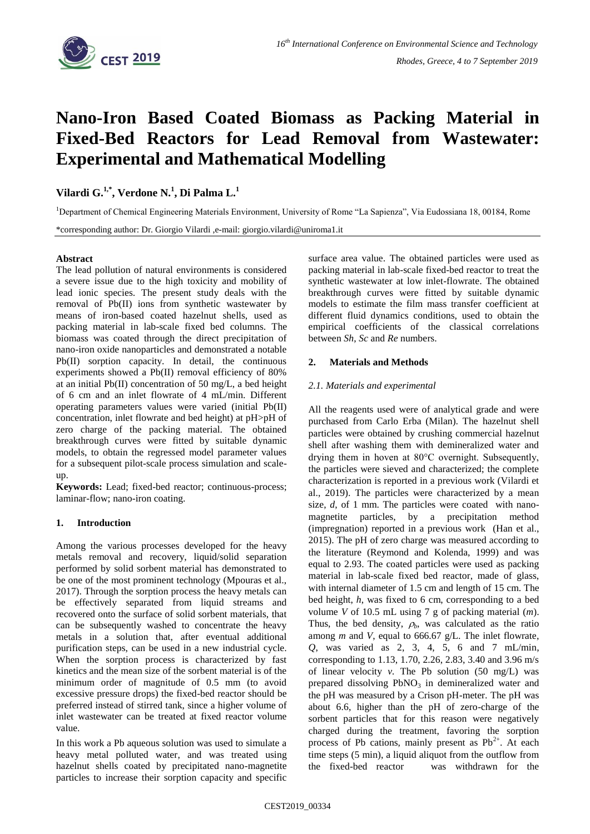

# **Nano-Iron Based Coated Biomass as Packing Material in Fixed-Bed Reactors for Lead Removal from Wastewater: Experimental and Mathematical Modelling**

**Vilardi G. 1,\*, Verdone N. 1 , Di Palma L. 1** 

<sup>1</sup>Department of Chemical Engineering Materials Environment, University of Rome "La Sapienza", Via Eudossiana 18, 00184, Rome

\*corresponding author: Dr. Giorgio Vilardi ,e-mail: giorgio.vilardi@uniroma1.it

#### **Abstract**

The lead pollution of natural environments is considered a severe issue due to the high toxicity and mobility of lead ionic species. The present study deals with the removal of Pb(II) ions from synthetic wastewater by means of iron-based coated hazelnut shells, used as packing material in lab-scale fixed bed columns. The biomass was coated through the direct precipitation of nano-iron oxide nanoparticles and demonstrated a notable Pb(II) sorption capacity. In detail, the continuous experiments showed a Pb(II) removal efficiency of 80% at an initial Pb(II) concentration of 50 mg/L, a bed height of 6 cm and an inlet flowrate of 4 mL/min. Different operating parameters values were varied (initial Pb(II) concentration, inlet flowrate and bed height) at pH>pH of zero charge of the packing material. The obtained breakthrough curves were fitted by suitable dynamic models, to obtain the regressed model parameter values for a subsequent pilot-scale process simulation and scaleup.

**Keywords:** Lead; fixed-bed reactor; continuous-process; laminar-flow; nano-iron coating.

## **1. Introduction**

Among the various processes developed for the heavy metals removal and recovery, liquid/solid separation performed by solid sorbent material has demonstrated to be one of the most prominent technology (Mpouras et al., 2017). Through the sorption process the heavy metals can be effectively separated from liquid streams and recovered onto the surface of solid sorbent materials, that can be subsequently washed to concentrate the heavy metals in a solution that, after eventual additional purification steps, can be used in a new industrial cycle. When the sorption process is characterized by fast kinetics and the mean size of the sorbent material is of the minimum order of magnitude of 0.5 mm (to avoid excessive pressure drops) the fixed-bed reactor should be preferred instead of stirred tank, since a higher volume of inlet wastewater can be treated at fixed reactor volume value.

In this work a Pb aqueous solution was used to simulate a heavy metal polluted water, and was treated using hazelnut shells coated by precipitated nano-magnetite particles to increase their sorption capacity and specific

surface area value. The obtained particles were used as packing material in lab-scale fixed-bed reactor to treat the synthetic wastewater at low inlet-flowrate. The obtained breakthrough curves were fitted by suitable dynamic models to estimate the film mass transfer coefficient at different fluid dynamics conditions, used to obtain the empirical coefficients of the classical correlations between *Sh*, *Sc* and *Re* numbers.

## **2. Materials and Methods**

## *2.1. Materials and experimental*

All the reagents used were of analytical grade and were purchased from Carlo Erba (Milan). The hazelnut shell particles were obtained by crushing commercial hazelnut shell after washing them with demineralized water and drying them in hoven at 80°C overnight. Subsequently, the particles were sieved and characterized; the complete characterization is reported in a previous work (Vilardi et al., 2019). The particles were characterized by a mean size, *d*, of 1 mm. The particles were coated with nanomagnetite particles, by a precipitation method (impregnation) reported in a previous work (Han et al., 2015). The pH of zero charge was measured according to the literature (Reymond and Kolenda, 1999) and was equal to 2.93. The coated particles were used as packing material in lab-scale fixed bed reactor, made of glass, with internal diameter of 1.5 cm and length of 15 cm. The bed height, *h*, was fixed to 6 cm, corresponding to a bed volume *V* of 10.5 mL using 7 g of packing material (*m*). Thus, the bed density,  $\rho_h$ , was calculated as the ratio among *m* and *V*, equal to 666.67 g/L. The inlet flowrate, *Q*, was varied as 2, 3, 4, 5, 6 and 7 mL/min, corresponding to 1.13, 1.70, 2.26, 2.83, 3.40 and 3.96 m/s of linear velocity *v.* The Pb solution (50 mg/L) was prepared dissolving  $PbNO<sub>3</sub>$  in demineralized water and the pH was measured by a Crison pH-meter. The pH was about 6.6, higher than the pH of zero-charge of the sorbent particles that for this reason were negatively charged during the treatment, favoring the sorption process of Pb cations, mainly present as  $Pb^{2+}$ . At each time steps (5 min), a liquid aliquot from the outflow from the fixed-bed reactor was withdrawn for the